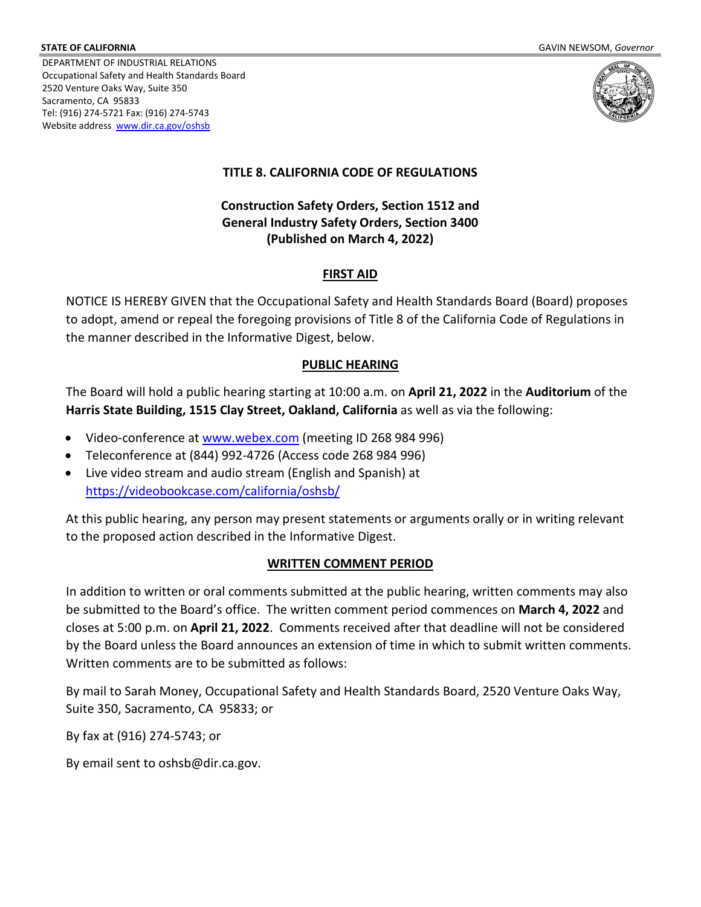DEPARTMENT OF INDUSTRIAL RELATIONS Occupational Safety and Health Standards Board 2520 Venture Oaks Way, Suite 350 Sacramento, CA 95833 Tel: (916) 274-5721 Fax: (916) 274-5743 Website address www.dir.ca.gov/oshsb



# **TITLE 8. CALIFORNIA CODE OF REGULATIONS**

# **Construction Safety Orders, Section 1512 and General Industry Safety Orders, Section 3400 (Published on March 4, 2022)**

# **FIRST AID**

NOTICE IS HEREBY GIVEN that the Occupational Safety and Health Standards Board (Board) proposes to adopt, amend or repeal the foregoing provisions of Title 8 of the California Code of Regulations in the manner described in the Informative Digest, below.

### **PUBLIC HEARING**

The Board will hold a public hearing starting at 10:00 a.m. on **April 21, 2022** in the **Auditorium** of the **Harris State Building, 1515 Clay Street, Oakland, California** as well as via the following:

- Video-conference a[t www.webex.com](www.webex.com) (meeting ID 268 984 996)
- Teleconference at (844) 992-4726 (Access code 268 984 996)
- Live video stream and audio stream (English and Spanish) at <https://videobookcase.com/california/oshsb/>

At this public hearing, any person may present statements or arguments orally or in writing relevant to the proposed action described in the Informative Digest.

# **WRITTEN COMMENT PERIOD**

In addition to written or oral comments submitted at the public hearing, written comments may also be submitted to the Board's office. The written comment period commences on **March 4, 2022** and closes at 5:00 p.m. on **April 21, 2022**. Comments received after that deadline will not be considered by the Board unless the Board announces an extension of time in which to submit written comments. Written comments are to be submitted as follows:

By mail to Sarah Money, Occupational Safety and Health Standards Board, 2520 Venture Oaks Way, Suite 350, Sacramento, CA 95833; or

By fax at (916) 274-5743; or

By email sent to oshsb@dir.ca.gov.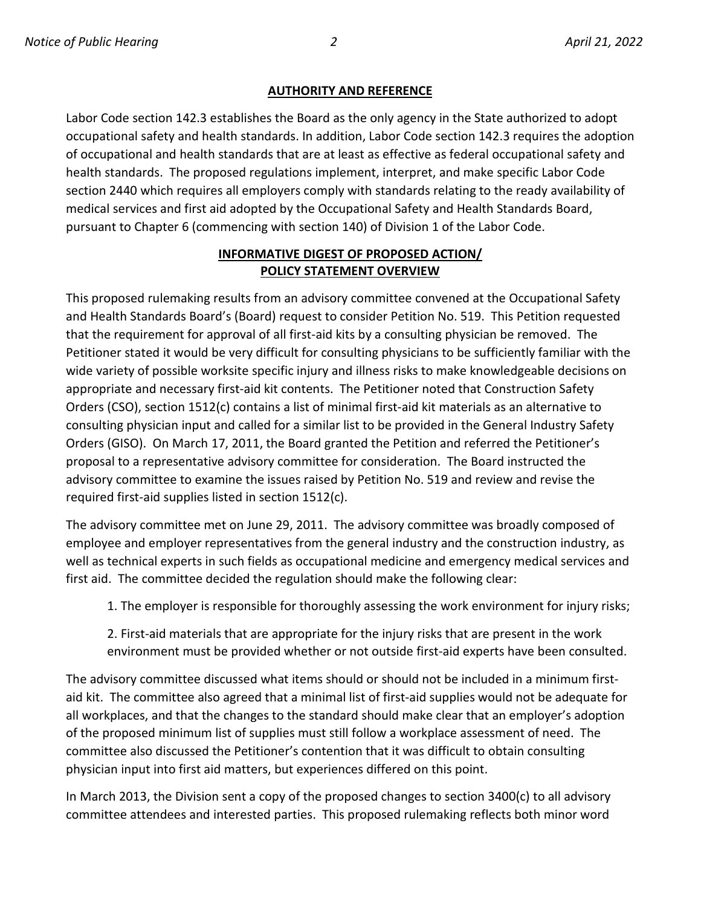#### **AUTHORITY AND REFERENCE**

Labor Code section 142.3 establishes the Board as the only agency in the State authorized to adopt occupational safety and health standards. In addition, Labor Code section 142.3 requires the adoption of occupational and health standards that are at least as effective as federal occupational safety and health standards. The proposed regulations implement, interpret, and make specific Labor Code section 2440 which requires all employers comply with standards relating to the ready availability of medical services and first aid adopted by the Occupational Safety and Health Standards Board, pursuant to Chapter 6 (commencing with section 140) of Division 1 of the Labor Code.

### **INFORMATIVE DIGEST OF PROPOSED ACTION/ POLICY STATEMENT OVERVIEW**

This proposed rulemaking results from an advisory committee convened at the Occupational Safety and Health Standards Board's (Board) request to consider Petition No. 519. This Petition requested that the requirement for approval of all first-aid kits by a consulting physician be removed. The Petitioner stated it would be very difficult for consulting physicians to be sufficiently familiar with the wide variety of possible worksite specific injury and illness risks to make knowledgeable decisions on appropriate and necessary first-aid kit contents. The Petitioner noted that Construction Safety Orders (CSO), section 1512(c) contains a list of minimal first-aid kit materials as an alternative to consulting physician input and called for a similar list to be provided in the General Industry Safety Orders (GISO). On March 17, 2011, the Board granted the Petition and referred the Petitioner's proposal to a representative advisory committee for consideration. The Board instructed the advisory committee to examine the issues raised by Petition No. 519 and review and revise the required first-aid supplies listed in section 1512(c).

The advisory committee met on June 29, 2011. The advisory committee was broadly composed of employee and employer representatives from the general industry and the construction industry, as well as technical experts in such fields as occupational medicine and emergency medical services and first aid. The committee decided the regulation should make the following clear:

- 1. The employer is responsible for thoroughly assessing the work environment for injury risks;
- 2. First-aid materials that are appropriate for the injury risks that are present in the work environment must be provided whether or not outside first-aid experts have been consulted.

The advisory committee discussed what items should or should not be included in a minimum firstaid kit. The committee also agreed that a minimal list of first-aid supplies would not be adequate for all workplaces, and that the changes to the standard should make clear that an employer's adoption of the proposed minimum list of supplies must still follow a workplace assessment of need. The committee also discussed the Petitioner's contention that it was difficult to obtain consulting physician input into first aid matters, but experiences differed on this point.

In March 2013, the Division sent a copy of the proposed changes to section 3400(c) to all advisory committee attendees and interested parties. This proposed rulemaking reflects both minor word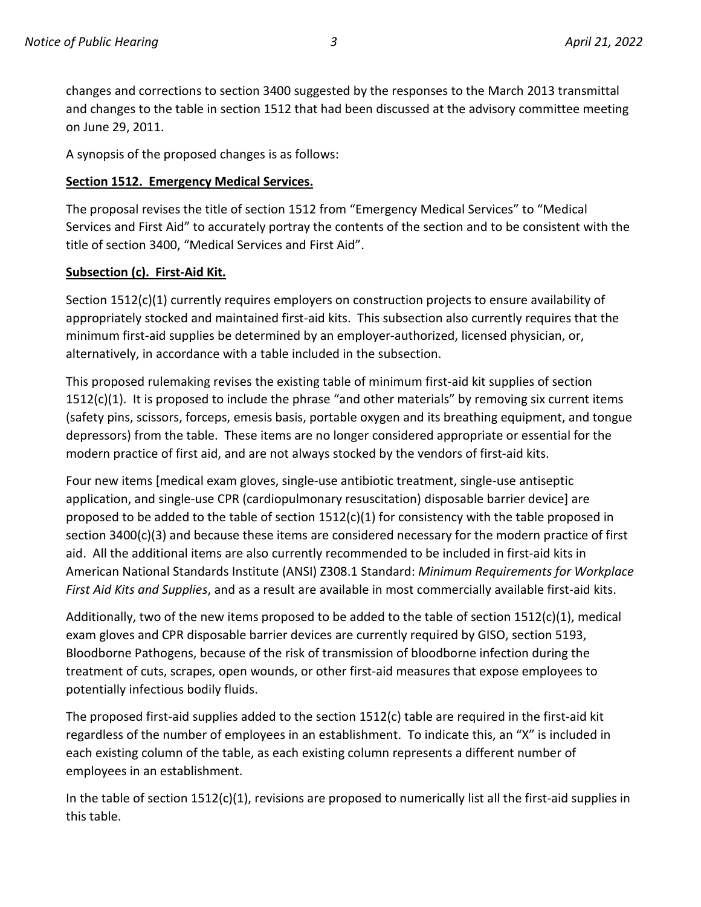changes and corrections to section 3400 suggested by the responses to the March 2013 transmittal and changes to the table in section 1512 that had been discussed at the advisory committee meeting on June 29, 2011.

A synopsis of the proposed changes is as follows:

#### **Section 1512. Emergency Medical Services.**

The proposal revises the title of section 1512 from "Emergency Medical Services" to "Medical Services and First Aid" to accurately portray the contents of the section and to be consistent with the title of section 3400, "Medical Services and First Aid".

#### **Subsection (c). First-Aid Kit.**

Section 1512(c)(1) currently requires employers on construction projects to ensure availability of appropriately stocked and maintained first-aid kits. This subsection also currently requires that the minimum first-aid supplies be determined by an employer-authorized, licensed physician, or, alternatively, in accordance with a table included in the subsection.

This proposed rulemaking revises the existing table of minimum first-aid kit supplies of section 1512(c)(1). It is proposed to include the phrase "and other materials" by removing six current items (safety pins, scissors, forceps, emesis basis, portable oxygen and its breathing equipment, and tongue depressors) from the table. These items are no longer considered appropriate or essential for the modern practice of first aid, and are not always stocked by the vendors of first-aid kits.

Four new items [medical exam gloves, single-use antibiotic treatment, single-use antiseptic application, and single-use CPR (cardiopulmonary resuscitation) disposable barrier device] are proposed to be added to the table of section  $1512(c)(1)$  for consistency with the table proposed in section 3400(c)(3) and because these items are considered necessary for the modern practice of first aid. All the additional items are also currently recommended to be included in first-aid kits in American National Standards Institute (ANSI) Z308.1 Standard: *Minimum Requirements for Workplace First Aid Kits and Supplies*, and as a result are available in most commercially available first-aid kits.

Additionally, two of the new items proposed to be added to the table of section 1512(c)(1), medical exam gloves and CPR disposable barrier devices are currently required by GISO, section 5193, Bloodborne Pathogens, because of the risk of transmission of bloodborne infection during the treatment of cuts, scrapes, open wounds, or other first-aid measures that expose employees to potentially infectious bodily fluids.

The proposed first-aid supplies added to the section 1512(c) table are required in the first-aid kit regardless of the number of employees in an establishment. To indicate this, an "X" is included in each existing column of the table, as each existing column represents a different number of employees in an establishment.

In the table of section 1512(c)(1), revisions are proposed to numerically list all the first-aid supplies in this table.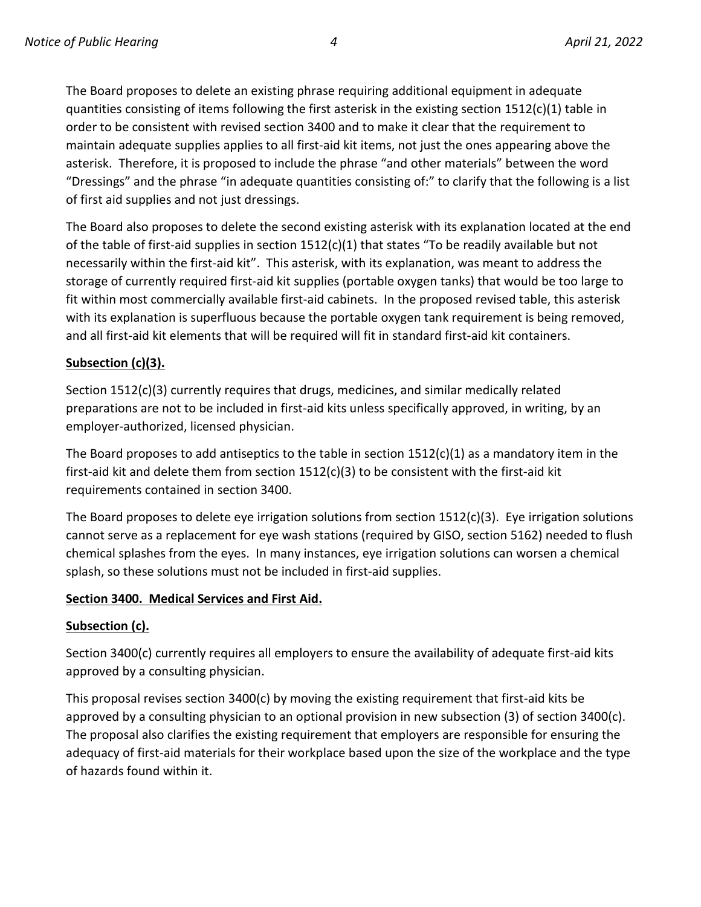The Board proposes to delete an existing phrase requiring additional equipment in adequate quantities consisting of items following the first asterisk in the existing section  $1512(c)(1)$  table in order to be consistent with revised section 3400 and to make it clear that the requirement to maintain adequate supplies applies to all first-aid kit items, not just the ones appearing above the asterisk. Therefore, it is proposed to include the phrase "and other materials" between the word "Dressings" and the phrase "in adequate quantities consisting of:" to clarify that the following is a list of first aid supplies and not just dressings.

The Board also proposes to delete the second existing asterisk with its explanation located at the end of the table of first-aid supplies in section 1512(c)(1) that states "To be readily available but not necessarily within the first-aid kit". This asterisk, with its explanation, was meant to address the storage of currently required first-aid kit supplies (portable oxygen tanks) that would be too large to fit within most commercially available first-aid cabinets. In the proposed revised table, this asterisk with its explanation is superfluous because the portable oxygen tank requirement is being removed, and all first-aid kit elements that will be required will fit in standard first-aid kit containers.

### **Subsection (c)(3).**

Section 1512(c)(3) currently requires that drugs, medicines, and similar medically related preparations are not to be included in first-aid kits unless specifically approved, in writing, by an employer-authorized, licensed physician.

The Board proposes to add antiseptics to the table in section  $1512(c)(1)$  as a mandatory item in the first-aid kit and delete them from section 1512(c)(3) to be consistent with the first-aid kit requirements contained in section 3400.

The Board proposes to delete eye irrigation solutions from section 1512(c)(3). Eye irrigation solutions cannot serve as a replacement for eye wash stations (required by GISO, section 5162) needed to flush chemical splashes from the eyes. In many instances, eye irrigation solutions can worsen a chemical splash, so these solutions must not be included in first-aid supplies.

#### **Section 3400. Medical Services and First Aid.**

#### **Subsection (c).**

Section 3400(c) currently requires all employers to ensure the availability of adequate first-aid kits approved by a consulting physician.

This proposal revises section 3400(c) by moving the existing requirement that first-aid kits be approved by a consulting physician to an optional provision in new subsection (3) of section 3400(c). The proposal also clarifies the existing requirement that employers are responsible for ensuring the adequacy of first-aid materials for their workplace based upon the size of the workplace and the type of hazards found within it.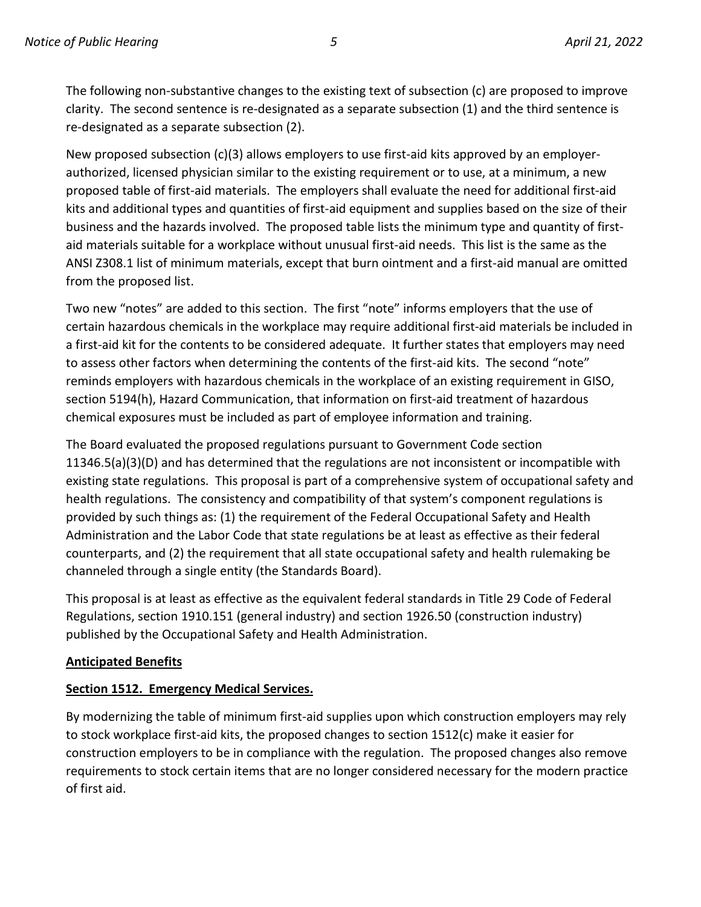The following non-substantive changes to the existing text of subsection (c) are proposed to improve clarity. The second sentence is re-designated as a separate subsection (1) and the third sentence is re-designated as a separate subsection (2).

New proposed subsection (c)(3) allows employers to use first-aid kits approved by an employerauthorized, licensed physician similar to the existing requirement or to use, at a minimum, a new proposed table of first-aid materials. The employers shall evaluate the need for additional first-aid kits and additional types and quantities of first-aid equipment and supplies based on the size of their business and the hazards involved. The proposed table lists the minimum type and quantity of firstaid materials suitable for a workplace without unusual first-aid needs. This list is the same as the ANSI Z308.1 list of minimum materials, except that burn ointment and a first-aid manual are omitted from the proposed list.

Two new "notes" are added to this section. The first "note" informs employers that the use of certain hazardous chemicals in the workplace may require additional first-aid materials be included in a first-aid kit for the contents to be considered adequate. It further states that employers may need to assess other factors when determining the contents of the first-aid kits. The second "note" reminds employers with hazardous chemicals in the workplace of an existing requirement in GISO, section 5194(h), Hazard Communication, that information on first-aid treatment of hazardous chemical exposures must be included as part of employee information and training.

The Board evaluated the proposed regulations pursuant to Government Code section 11346.5(a)(3)(D) and has determined that the regulations are not inconsistent or incompatible with existing state regulations. This proposal is part of a comprehensive system of occupational safety and health regulations. The consistency and compatibility of that system's component regulations is provided by such things as: (1) the requirement of the Federal Occupational Safety and Health Administration and the Labor Code that state regulations be at least as effective as their federal counterparts, and (2) the requirement that all state occupational safety and health rulemaking be channeled through a single entity (the Standards Board).

This proposal is at least as effective as the equivalent federal standards in Title 29 Code of Federal Regulations, section 1910.151 (general industry) and section 1926.50 (construction industry) published by the Occupational Safety and Health Administration.

# **Anticipated Benefits**

# **Section 1512. Emergency Medical Services.**

By modernizing the table of minimum first-aid supplies upon which construction employers may rely to stock workplace first-aid kits, the proposed changes to section 1512(c) make it easier for construction employers to be in compliance with the regulation. The proposed changes also remove requirements to stock certain items that are no longer considered necessary for the modern practice of first aid.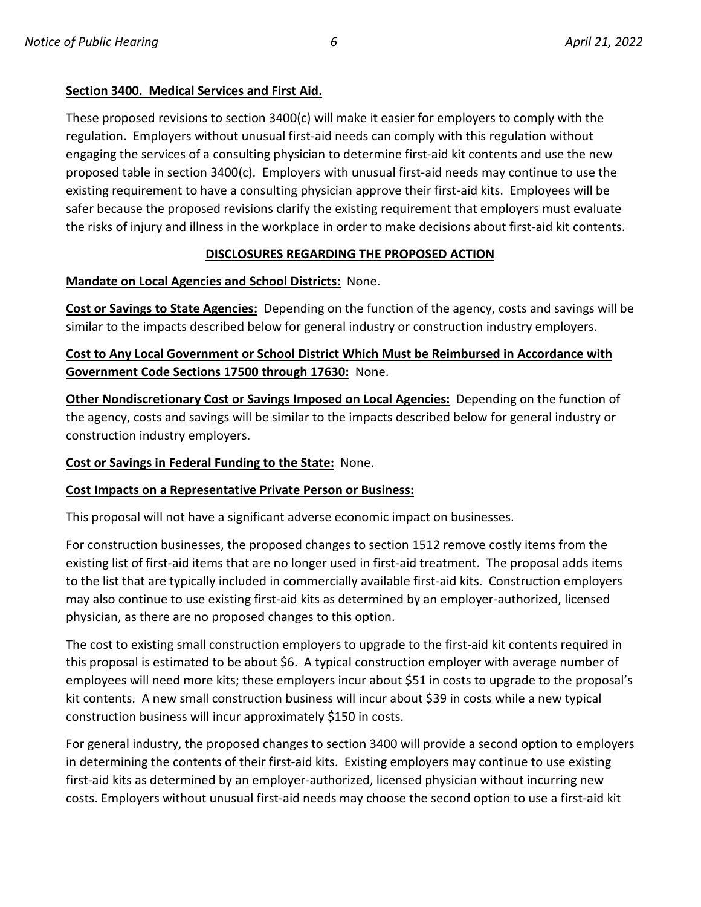#### **Section 3400. Medical Services and First Aid.**

These proposed revisions to section 3400(c) will make it easier for employers to comply with the regulation. Employers without unusual first-aid needs can comply with this regulation without engaging the services of a consulting physician to determine first-aid kit contents and use the new proposed table in section 3400(c). Employers with unusual first-aid needs may continue to use the existing requirement to have a consulting physician approve their first-aid kits. Employees will be safer because the proposed revisions clarify the existing requirement that employers must evaluate the risks of injury and illness in the workplace in order to make decisions about first-aid kit contents.

### **DISCLOSURES REGARDING THE PROPOSED ACTION**

#### **Mandate on Local Agencies and School Districts:** None.

**Cost or Savings to State Agencies:** Depending on the function of the agency, costs and savings will be similar to the impacts described below for general industry or construction industry employers.

# **Cost to Any Local Government or School District Which Must be Reimbursed in Accordance with Government Code Sections 17500 through 17630:** None.

**Other Nondiscretionary Cost or Savings Imposed on Local Agencies:** Depending on the function of the agency, costs and savings will be similar to the impacts described below for general industry or construction industry employers.

#### **Cost or Savings in Federal Funding to the State:** None.

#### **Cost Impacts on a Representative Private Person or Business:**

This proposal will not have a significant adverse economic impact on businesses.

For construction businesses, the proposed changes to section 1512 remove costly items from the existing list of first-aid items that are no longer used in first-aid treatment. The proposal adds items to the list that are typically included in commercially available first-aid kits. Construction employers may also continue to use existing first-aid kits as determined by an employer-authorized, licensed physician, as there are no proposed changes to this option.

The cost to existing small construction employers to upgrade to the first-aid kit contents required in this proposal is estimated to be about \$6. A typical construction employer with average number of employees will need more kits; these employers incur about \$51 in costs to upgrade to the proposal's kit contents. A new small construction business will incur about \$39 in costs while a new typical construction business will incur approximately \$150 in costs.

For general industry, the proposed changes to section 3400 will provide a second option to employers in determining the contents of their first-aid kits. Existing employers may continue to use existing first-aid kits as determined by an employer-authorized, licensed physician without incurring new costs. Employers without unusual first-aid needs may choose the second option to use a first-aid kit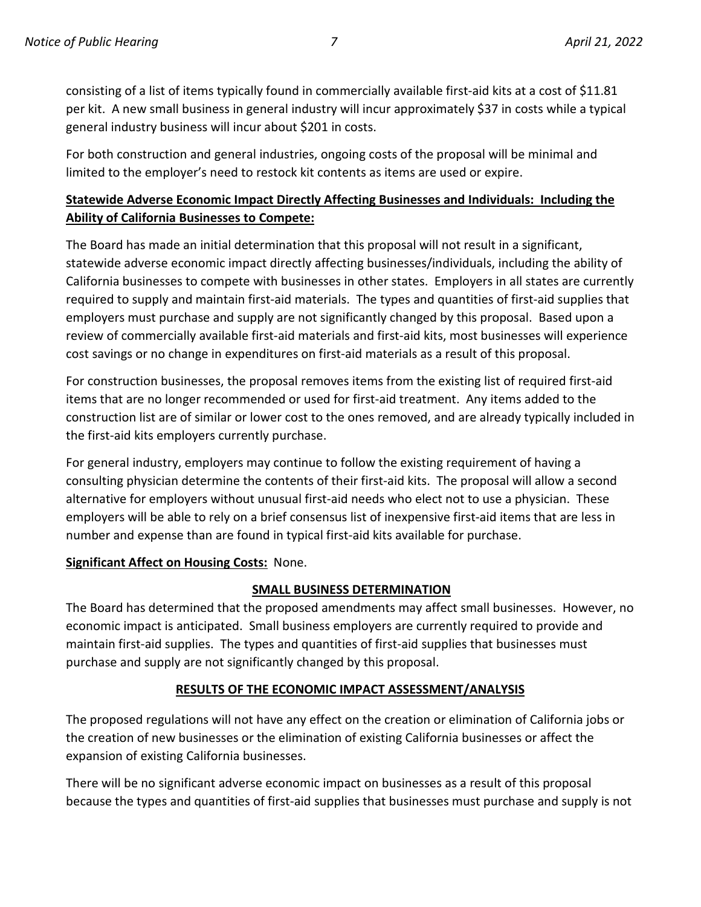consisting of a list of items typically found in commercially available first-aid kits at a cost of \$11.81 per kit. A new small business in general industry will incur approximately \$37 in costs while a typical general industry business will incur about \$201 in costs.

For both construction and general industries, ongoing costs of the proposal will be minimal and limited to the employer's need to restock kit contents as items are used or expire.

# **Statewide Adverse Economic Impact Directly Affecting Businesses and Individuals: Including the Ability of California Businesses to Compete:**

The Board has made an initial determination that this proposal will not result in a significant, statewide adverse economic impact directly affecting businesses/individuals, including the ability of California businesses to compete with businesses in other states. Employers in all states are currently required to supply and maintain first-aid materials. The types and quantities of first-aid supplies that employers must purchase and supply are not significantly changed by this proposal. Based upon a review of commercially available first-aid materials and first-aid kits, most businesses will experience cost savings or no change in expenditures on first-aid materials as a result of this proposal.

For construction businesses, the proposal removes items from the existing list of required first-aid items that are no longer recommended or used for first-aid treatment. Any items added to the construction list are of similar or lower cost to the ones removed, and are already typically included in the first-aid kits employers currently purchase.

For general industry, employers may continue to follow the existing requirement of having a consulting physician determine the contents of their first-aid kits. The proposal will allow a second alternative for employers without unusual first-aid needs who elect not to use a physician. These employers will be able to rely on a brief consensus list of inexpensive first-aid items that are less in number and expense than are found in typical first-aid kits available for purchase.

# **Significant Affect on Housing Costs:** None.

# **SMALL BUSINESS DETERMINATION**

The Board has determined that the proposed amendments may affect small businesses. However, no economic impact is anticipated. Small business employers are currently required to provide and maintain first-aid supplies. The types and quantities of first-aid supplies that businesses must purchase and supply are not significantly changed by this proposal.

# **RESULTS OF THE ECONOMIC IMPACT ASSESSMENT/ANALYSIS**

The proposed regulations will not have any effect on the creation or elimination of California jobs or the creation of new businesses or the elimination of existing California businesses or affect the expansion of existing California businesses.

There will be no significant adverse economic impact on businesses as a result of this proposal because the types and quantities of first-aid supplies that businesses must purchase and supply is not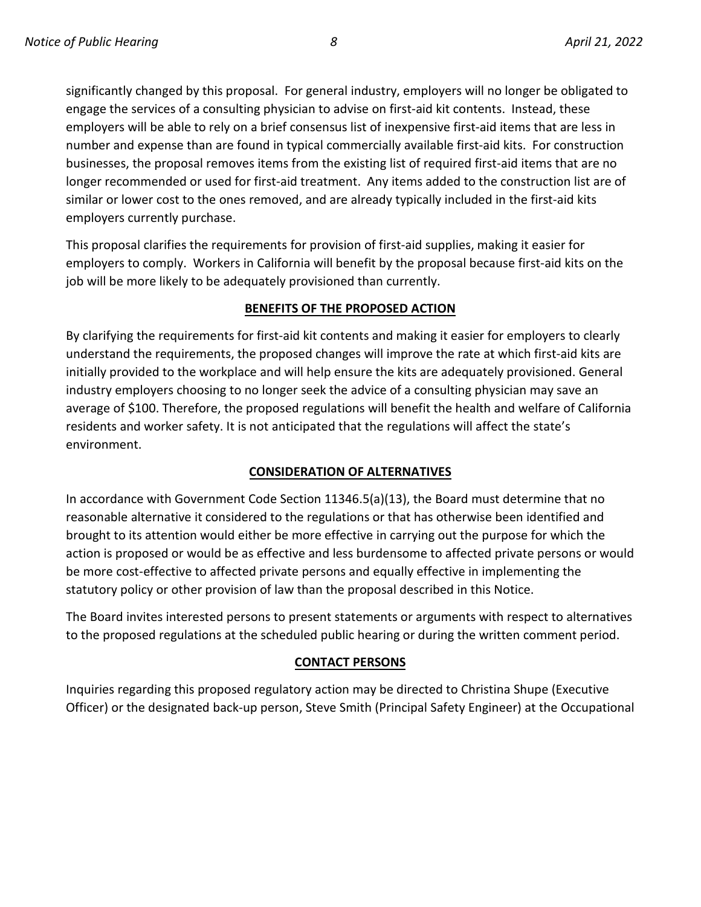significantly changed by this proposal. For general industry, employers will no longer be obligated to engage the services of a consulting physician to advise on first-aid kit contents. Instead, these employers will be able to rely on a brief consensus list of inexpensive first-aid items that are less in number and expense than are found in typical commercially available first-aid kits. For construction businesses, the proposal removes items from the existing list of required first-aid items that are no longer recommended or used for first-aid treatment. Any items added to the construction list are of similar or lower cost to the ones removed, and are already typically included in the first-aid kits employers currently purchase.

This proposal clarifies the requirements for provision of first-aid supplies, making it easier for employers to comply. Workers in California will benefit by the proposal because first-aid kits on the job will be more likely to be adequately provisioned than currently.

#### **BENEFITS OF THE PROPOSED ACTION**

By clarifying the requirements for first-aid kit contents and making it easier for employers to clearly understand the requirements, the proposed changes will improve the rate at which first-aid kits are initially provided to the workplace and will help ensure the kits are adequately provisioned. General industry employers choosing to no longer seek the advice of a consulting physician may save an average of \$100. Therefore, the proposed regulations will benefit the health and welfare of California residents and worker safety. It is not anticipated that the regulations will affect the state's environment.

#### **CONSIDERATION OF ALTERNATIVES**

In accordance with Government Code Section 11346.5(a)(13), the Board must determine that no reasonable alternative it considered to the regulations or that has otherwise been identified and brought to its attention would either be more effective in carrying out the purpose for which the action is proposed or would be as effective and less burdensome to affected private persons or would be more cost-effective to affected private persons and equally effective in implementing the statutory policy or other provision of law than the proposal described in this Notice.

The Board invites interested persons to present statements or arguments with respect to alternatives to the proposed regulations at the scheduled public hearing or during the written comment period.

#### **CONTACT PERSONS**

Inquiries regarding this proposed regulatory action may be directed to Christina Shupe (Executive Officer) or the designated back-up person, Steve Smith (Principal Safety Engineer) at the Occupational